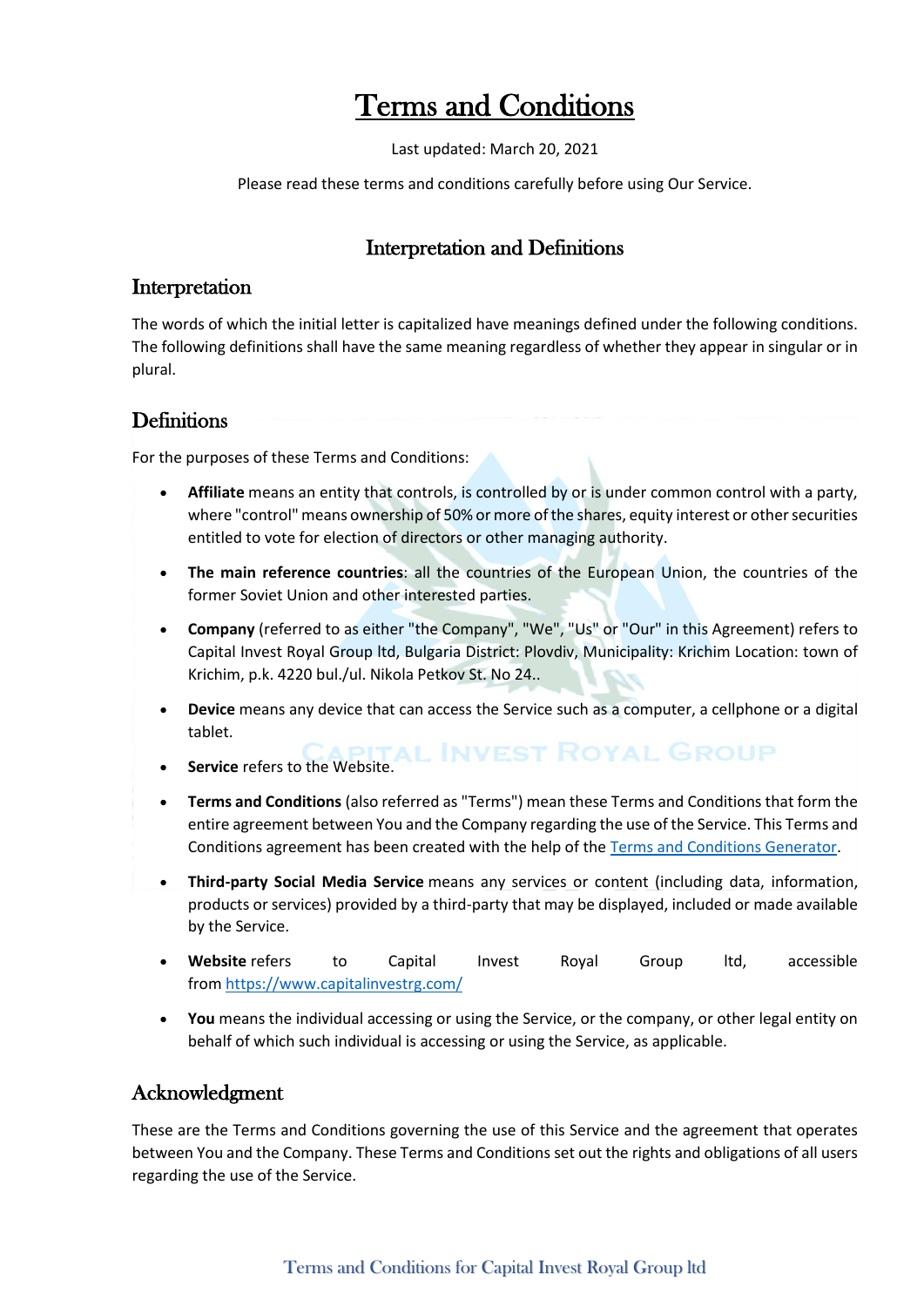# Terms and Conditions

Last updated: March 20, 2021

Please read these terms and conditions carefully before using Our Service.

#### Interpretation and Definitions

#### Interpretation

The words of which the initial letter is capitalized have meanings defined under the following conditions. The following definitions shall have the same meaning regardless of whether they appear in singular or in plural.

#### **Definitions**

For the purposes of these Terms and Conditions:

- **Affiliate** means an entity that controls, is controlled by or is under common control with a party, where "control" means ownership of 50% or more of the shares, equity interest or other securities entitled to vote for election of directors or other managing authority.
- **The main reference countries**: all the countries of the European Union, the countries of the former Soviet Union and other interested parties.
- **Company** (referred to as either "the Company", "We", "Us" or "Our" in this Agreement) refers to Capital Invest Royal Group ltd, Bulgaria District: Plovdiv, Municipality: Krichim Location: town of Krichim, p.k. 4220 bul./ul. Nikola Petkov St. No 24..
- **Device** means any device that can access the Service such as a computer, a cellphone or a digital tablet.
- **Service** refers to the Website. **ALL INVEST ROYAL GROUP**
- **Terms and Conditions** (also referred as "Terms") mean these Terms and Conditions that form the entire agreement between You and the Company regarding the use of the Service. This Terms and Conditions agreement has been created with the help of the [Terms and Conditions Generator.](https://www.privacypolicies.com/terms-conditions-generator/)
- **Third-party Social Media Service** means any services or content (including data, information, products or services) provided by a third-party that may be displayed, included or made available by the Service.
- **Website** refers to Capital Invest Royal Group ltd, accessible from <https://www.capitalinvestrg.com/>
- **You** means the individual accessing or using the Service, or the company, or other legal entity on behalf of which such individual is accessing or using the Service, as applicable.

#### Acknowledgment

These are the Terms and Conditions governing the use of this Service and the agreement that operates between You and the Company. These Terms and Conditions set out the rights and obligations of all users regarding the use of the Service.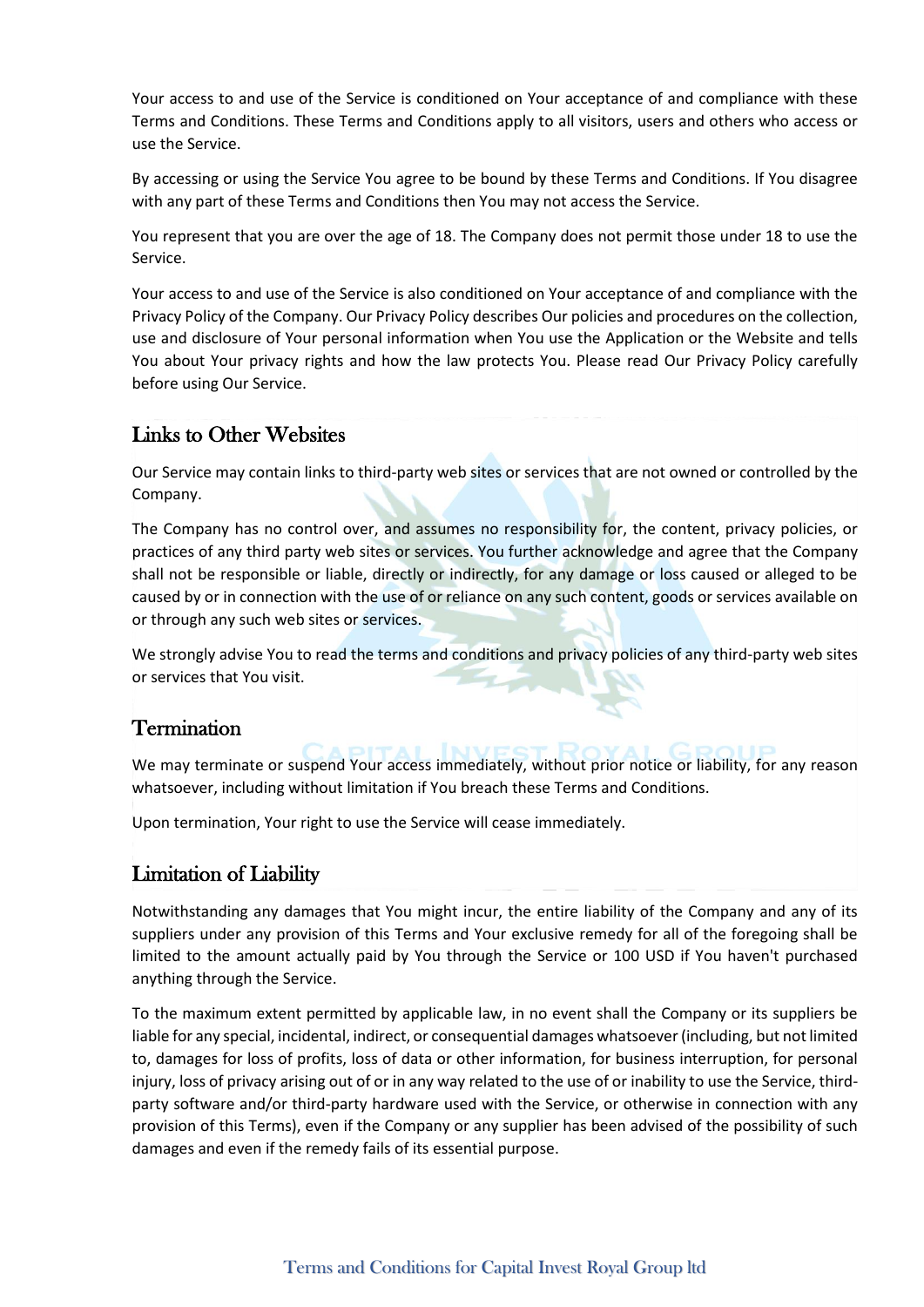Your access to and use of the Service is conditioned on Your acceptance of and compliance with these Terms and Conditions. These Terms and Conditions apply to all visitors, users and others who access or use the Service.

By accessing or using the Service You agree to be bound by these Terms and Conditions. If You disagree with any part of these Terms and Conditions then You may not access the Service.

You represent that you are over the age of 18. The Company does not permit those under 18 to use the Service.

Your access to and use of the Service is also conditioned on Your acceptance of and compliance with the Privacy Policy of the Company. Our Privacy Policy describes Our policies and procedures on the collection, use and disclosure of Your personal information when You use the Application or the Website and tells You about Your privacy rights and how the law protects You. Please read Our Privacy Policy carefully before using Our Service.

### Links to Other Websites

Our Service may contain links to third-party web sites or services that are not owned or controlled by the Company.

The Company has no control over, and assumes no responsibility for, the content, privacy policies, or practices of any third party web sites or services. You further acknowledge and agree that the Company shall not be responsible or liable, directly or indirectly, for any damage or loss caused or alleged to be caused by or in connection with the use of or reliance on any such content, goods or services available on or through any such web sites or services.

We strongly advise You to read the terms and conditions and privacy policies of any third-party web sites or services that You visit. **Participant** 

#### **Termination**

We may terminate or suspend Your access immediately, without prior notice or liability, for any reason whatsoever, including without limitation if You breach these Terms and Conditions.

Upon termination, Your right to use the Service will cease immediately.

#### Limitation of Liability

Notwithstanding any damages that You might incur, the entire liability of the Company and any of its suppliers under any provision of this Terms and Your exclusive remedy for all of the foregoing shall be limited to the amount actually paid by You through the Service or 100 USD if You haven't purchased anything through the Service.

To the maximum extent permitted by applicable law, in no event shall the Company or its suppliers be liable for any special, incidental, indirect, or consequential damages whatsoever (including, but not limited to, damages for loss of profits, loss of data or other information, for business interruption, for personal injury, loss of privacy arising out of or in any way related to the use of or inability to use the Service, thirdparty software and/or third-party hardware used with the Service, or otherwise in connection with any provision of this Terms), even if the Company or any supplier has been advised of the possibility of such damages and even if the remedy fails of its essential purpose.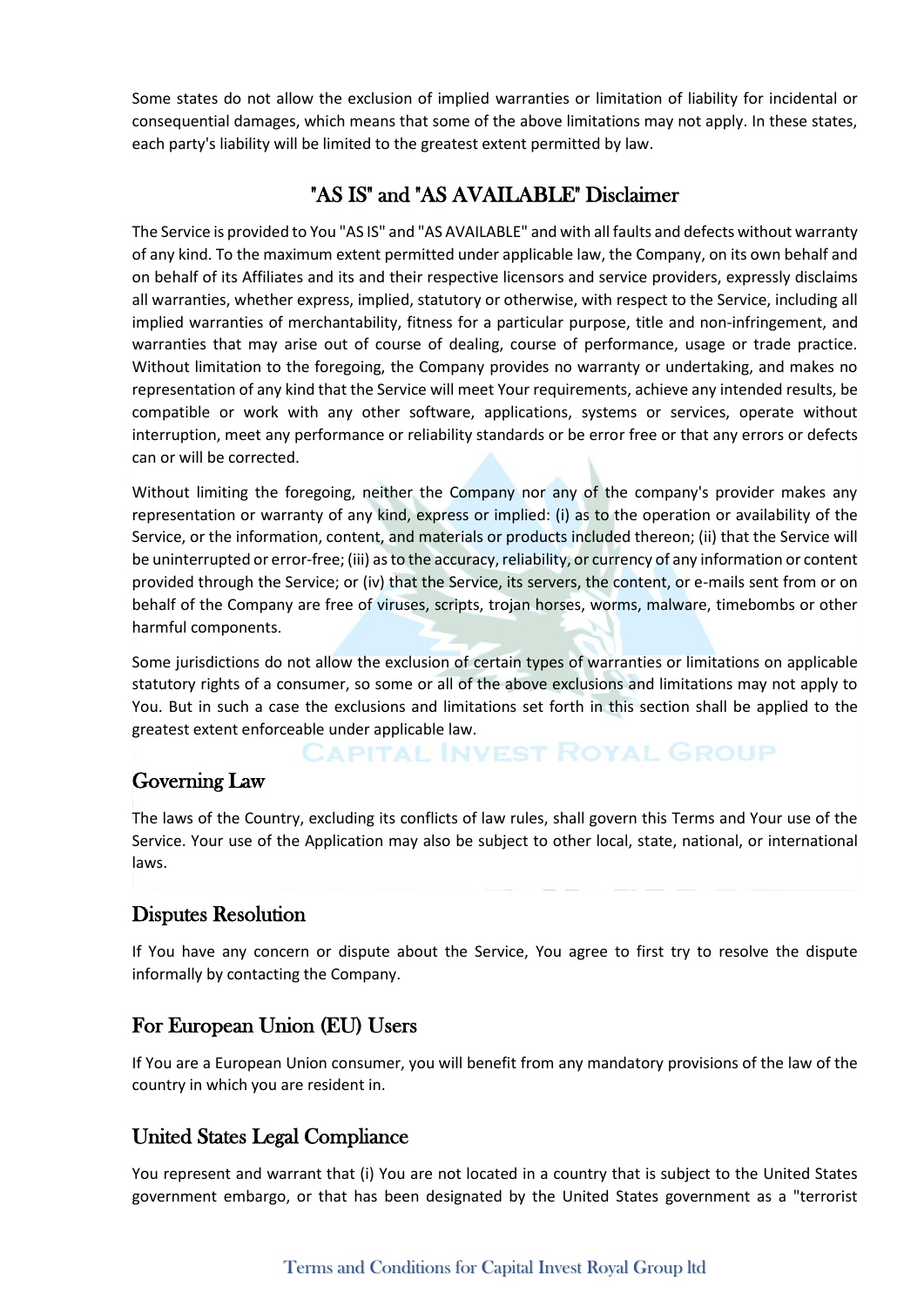Some states do not allow the exclusion of implied warranties or limitation of liability for incidental or consequential damages, which means that some of the above limitations may not apply. In these states, each party's liability will be limited to the greatest extent permitted by law.

## "AS IS" and "AS AVAILABLE" Disclaimer

The Service is provided to You "AS IS" and "AS AVAILABLE" and with all faults and defects without warranty of any kind. To the maximum extent permitted under applicable law, the Company, on its own behalf and on behalf of its Affiliates and its and their respective licensors and service providers, expressly disclaims all warranties, whether express, implied, statutory or otherwise, with respect to the Service, including all implied warranties of merchantability, fitness for a particular purpose, title and non-infringement, and warranties that may arise out of course of dealing, course of performance, usage or trade practice. Without limitation to the foregoing, the Company provides no warranty or undertaking, and makes no representation of any kind that the Service will meet Your requirements, achieve any intended results, be compatible or work with any other software, applications, systems or services, operate without interruption, meet any performance or reliability standards or be error free or that any errors or defects can or will be corrected.

Without limiting the foregoing, neither the Company nor any of the company's provider makes any representation or warranty of any kind, express or implied: (i) as to the operation or availability of the Service, or the information, content, and materials or products included thereon; (ii) that the Service will be uninterrupted or error-free; (iii) as to the accuracy, reliability, or currency of any information or content provided through the Service; or (iv) that the Service, its servers, the content, or e-mails sent from or on behalf of the Company are free of viruses, scripts, trojan horses, worms, malware, timebombs or other harmful components.

Some jurisdictions do not allow the exclusion of certain types of warranties or limitations on applicable statutory rights of a consumer, so some or all of the above exclusions and limitations may not apply to You. But in such a case the exclusions and limitations set forth in this section shall be applied to the greatest extent enforceable under applicable law.

# **CAPITAL INVEST ROYAL GROUP**

#### Governing Law

The laws of the Country, excluding its conflicts of law rules, shall govern this Terms and Your use of the Service. Your use of the Application may also be subject to other local, state, national, or international laws.

#### Disputes Resolution

If You have any concern or dispute about the Service, You agree to first try to resolve the dispute informally by contacting the Company.

## For European Union (EU) Users

If You are a European Union consumer, you will benefit from any mandatory provisions of the law of the country in which you are resident in.

#### United States Legal Compliance

You represent and warrant that (i) You are not located in a country that is subject to the United States government embargo, or that has been designated by the United States government as a "terrorist